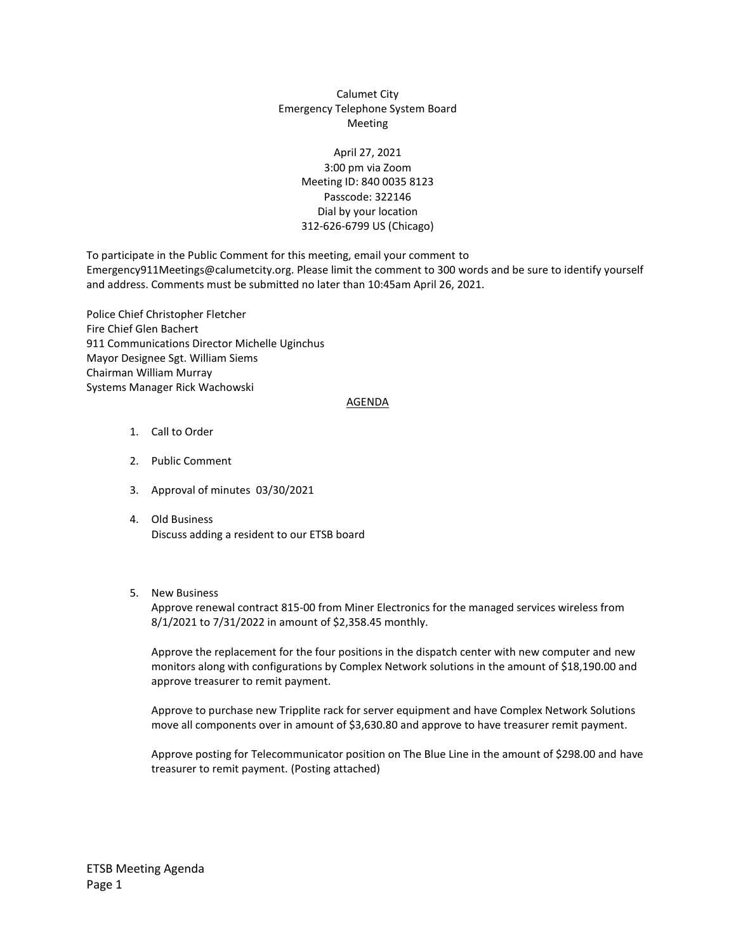## Calumet City Emergency Telephone System Board Meeting

## April 27, 2021 3:00 pm via Zoom Meeting ID: 840 0035 8123 Passcode: 322146 Dial by your location 312-626-6799 US (Chicago)

To participate in the Public Comment for this meeting, email your comment to Emergency911Meetings@calumetcity.org. Please limit the comment to 300 words and be sure to identify yourself and address. Comments must be submitted no later than 10:45am April 26, 2021.

Police Chief Christopher Fletcher Fire Chief Glen Bachert 911 Communications Director Michelle Uginchus Mayor Designee Sgt. William Siems Chairman William Murray Systems Manager Rick Wachowski

#### AGENDA

- 1. Call to Order
- 2. Public Comment
- 3. Approval of minutes 03/30/2021
- 4. Old Business Discuss adding a resident to our ETSB board
- 5. New Business

Approve renewal contract 815-00 from Miner Electronics for the managed services wireless from 8/1/2021 to 7/31/2022 in amount of \$2,358.45 monthly.

Approve the replacement for the four positions in the dispatch center with new computer and new monitors along with configurations by Complex Network solutions in the amount of \$18,190.00 and approve treasurer to remit payment.

Approve to purchase new Tripplite rack for server equipment and have Complex Network Solutions move all components over in amount of \$3,630.80 and approve to have treasurer remit payment.

Approve posting for Telecommunicator position on The Blue Line in the amount of \$298.00 and have treasurer to remit payment. (Posting attached)